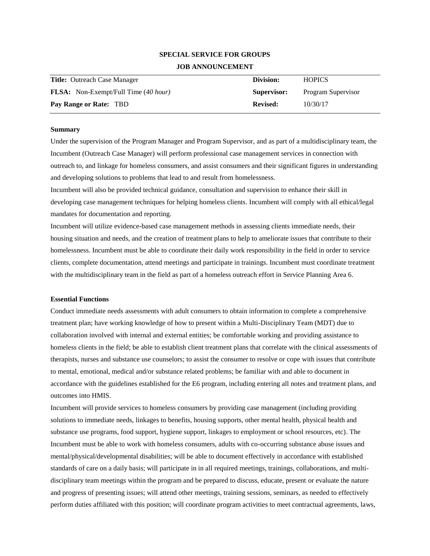# **SPECIAL SERVICE FOR GROUPS JOB ANNOUNCEMENT**

| <b>Title:</b> Outreach Case Manager         | Division:       | <b>HOPICS</b>      |
|---------------------------------------------|-----------------|--------------------|
| <b>FLSA:</b> Non-Exempt/Full Time (40 hour) | Supervisor:     | Program Supervisor |
| Pay Range or Rate: TBD                      | <b>Revised:</b> | 10/30/17           |

#### **Summary**

Under the supervision of the Program Manager and Program Supervisor, and as part of a multidisciplinary team, the Incumbent (Outreach Case Manager) will perform professional case management services in connection with outreach to, and linkage for homeless consumers, and assist consumers and their significant figures in understanding and developing solutions to problems that lead to and result from homelessness.

Incumbent will also be provided technical guidance, consultation and supervision to enhance their skill in developing case management techniques for helping homeless clients. Incumbent will comply with all ethical/legal mandates for documentation and reporting.

Incumbent will utilize evidence-based case management methods in assessing clients immediate needs, their housing situation and needs, and the creation of treatment plans to help to ameliorate issues that contribute to their homelessness. Incumbent must be able to coordinate their daily work responsibility in the field in order to service clients, complete documentation, attend meetings and participate in trainings. Incumbent must coordinate treatment with the multidisciplinary team in the field as part of a homeless outreach effort in Service Planning Area 6.

## **Essential Functions**

Conduct immediate needs assessments with adult consumers to obtain information to complete a comprehensive treatment plan; have working knowledge of how to present within a Multi-Disciplinary Team (MDT) due to collaboration involved with internal and external entities; be comfortable working and providing assistance to homeless clients in the field; be able to establish client treatment plans that correlate with the clinical assessments of therapists, nurses and substance use counselors; to assist the consumer to resolve or cope with issues that contribute to mental, emotional, medical and/or substance related problems; be familiar with and able to document in accordance with the guidelines established for the E6 program, including entering all notes and treatment plans, and outcomes into HMIS.

Incumbent will provide services to homeless consumers by providing case management (including providing solutions to immediate needs, linkages to benefits, housing supports, other mental health, physical health and substance use programs, food support, hygiene support, linkages to employment or school resources, etc). The Incumbent must be able to work with homeless consumers, adults with co-occurring substance abuse issues and mental/physical/developmental disabilities; will be able to document effectively in accordance with established standards of care on a daily basis; will participate in in all required meetings, trainings, collaborations, and multidisciplinary team meetings within the program and be prepared to discuss, educate, present or evaluate the nature and progress of presenting issues; will attend other meetings, training sessions, seminars, as needed to effectively perform duties affiliated with this position; will coordinate program activities to meet contractual agreements, laws,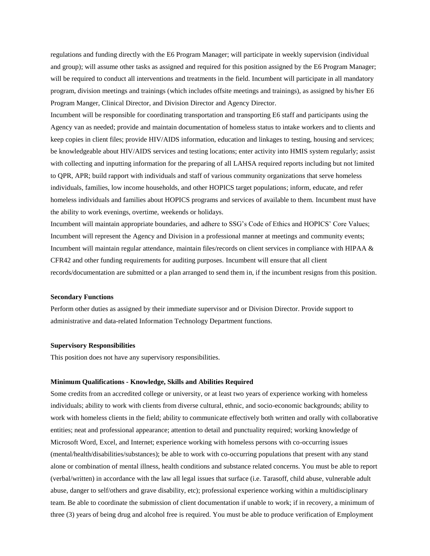regulations and funding directly with the E6 Program Manager; will participate in weekly supervision (individual and group); will assume other tasks as assigned and required for this position assigned by the E6 Program Manager; will be required to conduct all interventions and treatments in the field. Incumbent will participate in all mandatory program, division meetings and trainings (which includes offsite meetings and trainings), as assigned by his/her E6 Program Manger, Clinical Director, and Division Director and Agency Director.

Incumbent will be responsible for coordinating transportation and transporting E6 staff and participants using the Agency van as needed; provide and maintain documentation of homeless status to intake workers and to clients and keep copies in client files; provide HIV/AIDS information, education and linkages to testing, housing and services; be knowledgeable about HIV/AIDS services and testing locations; enter activity into HMIS system regularly; assist with collecting and inputting information for the preparing of all LAHSA required reports including but not limited to QPR, APR; build rapport with individuals and staff of various community organizations that serve homeless individuals, families, low income households, and other HOPICS target populations; inform, educate, and refer homeless individuals and families about HOPICS programs and services of available to them. Incumbent must have the ability to work evenings, overtime, weekends or holidays.

Incumbent will maintain appropriate boundaries, and adhere to SSG's Code of Ethics and HOPICS' Core Values; Incumbent will represent the Agency and Division in a professional manner at meetings and community events; Incumbent will maintain regular attendance, maintain files/records on client services in compliance with HIPAA & CFR42 and other funding requirements for auditing purposes. Incumbent will ensure that all client records/documentation are submitted or a plan arranged to send them in, if the incumbent resigns from this position.

## **Secondary Functions**

Perform other duties as assigned by their immediate supervisor and or Division Director. Provide support to administrative and data-related Information Technology Department functions.

### **Supervisory Responsibilities**

This position does not have any supervisory responsibilities.

#### **Minimum Qualifications - Knowledge, Skills and Abilities Required**

Some credits from an accredited college or university, or at least two years of experience working with homeless individuals; ability to work with clients from diverse cultural, ethnic, and socio-economic backgrounds; ability to work with homeless clients in the field; ability to communicate effectively both written and orally with collaborative entities; neat and professional appearance; attention to detail and punctuality required; working knowledge of Microsoft Word, Excel, and Internet; experience working with homeless persons with co-occurring issues (mental/health/disabilities/substances); be able to work with co-occurring populations that present with any stand alone or combination of mental illness, health conditions and substance related concerns. You must be able to report (verbal/written) in accordance with the law all legal issues that surface (i.e. Tarasoff, child abuse, vulnerable adult abuse, danger to self/others and grave disability, etc); professional experience working within a multidisciplinary team. Be able to coordinate the submission of client documentation if unable to work; if in recovery, a minimum of three (3) years of being drug and alcohol free is required. You must be able to produce verification of Employment